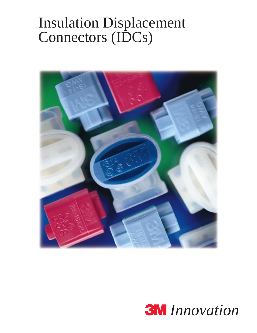# Insulation Displacement Connectors (IDCs)



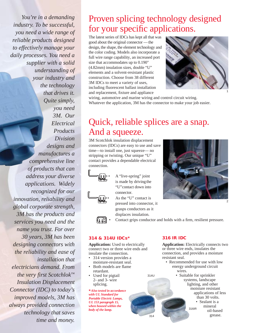*You're in a demanding industry. To be successful, you need a wide range of reliable products designed to effectively manage your daily processes. You need a supplier with a solid understanding of your industry and the technology that drives it. Quite simply, you need 3M. Our Electrical Products Division designs and manufactures a comprehensive line of products that can address your diverse applications. Widely recognized for our innovation, reliability and global corporate strength, 3M has the products and services you need and the name you trust. For over 30 years, 3M has been designing connectors with the reliability and ease of installation that electricians demand. From the very first Scotchlok™ Insulation Displacement Connector (IDC) to today's improved models, 3M has always provided connection technology that saves time and money.*

### Proven splicing technology designed for your specific applications.

The latest series of IDCs has kept all that was good about the original connector —the design, the shape, the element technology and the color coding. Models also incorporate a full wire range capability, an increased port size that accommodates up to 0.190" (4.82mm) insulation sizes, double "U" elements and a solvent-resistant plastic construction. Choose from 38 different 3M IDCs to meet a variety of uses, including fluorescent ballast installation and replacement, fixture and appliance



wiring, automotive and marine wiring and control circuit wiring. Whatever the application, 3M has the connector to make your job easier.

### Quick, reliable splices are a snap. And a squeeze.

3M Scotchlok insulation displacement connectors (IDCs) are easy to use and save time—to install one, just squeeze— no stripping or twisting. Our unique "U" contact provides a dependable electrical connection.

- A "live-spring" joint is made by driving the "U"contact down into connector.
- As the "U" contact is pressed into connector, it grasps conductors as it displaces insulation.



2

• Contact grips conductor and holds with a firm, resilient pressure.

314

314U

#### **314 & 314U IDCs\***

**Application:** Used to electrically connect two or three wire ends and insulate the connection.

- 314 version provides a moisture-resistant seal.
- Both models are flame retardant.
- Used for pigtail 2- and 3- wire splicing.

**\****Also tested in accordance with UL Standard for Portable Electric Lamps, UL 153 paragraph 15, when housed within the body of the lamp.*

#### **316 IR IDC**

**Application:** Electrically connects two or three wire ends, insulates the connection, and provides a moisture resistant seal.

- Recommended for use with low energy underground circuit wires.
	- Suitable for sprinkler systems, landscape lighting, and other moisture resistant applications of less than 30 volts. • Sealant is a mineral oil-based grease. 316IR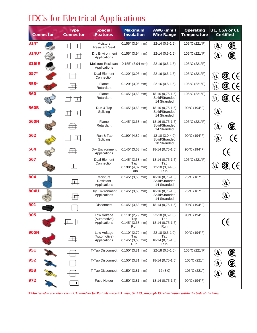# IDCs for Electrical Applications

|             | <b>Connector</b> | <b>Type</b><br><b>Connector</b>    | <b>Special</b><br><b>Features</b>           | <b>Maximum</b><br><b>Insulation</b>                            | AWG (mm <sup>2</sup> )<br><b>Wire Range</b>               | <b>Operating</b><br><b>Temperature</b> | UL, CSA or CE<br><b>Certified</b>                                                                        |
|-------------|------------------|------------------------------------|---------------------------------------------|----------------------------------------------------------------|-----------------------------------------------------------|----------------------------------------|----------------------------------------------------------------------------------------------------------|
| $314*$      |                  | 井<br>$\pm$                         | Moisture<br><b>Resistant Seal</b>           | $0.155$ " (3,94 mm)                                            | $22-14(0,5-1,5)$                                          | 105°C (221°F)                          | ®<br>ัปL์                                                                                                |
| 314U*       |                  | $\frac{1}{2}$<br>井                 | Dry Environment<br>Applications             | $0.155$ " (3,94 mm)                                            | $22-14(0,5-1,5)$                                          | 105°C (221°F)                          | ®<br>ั⊍∟์                                                                                                |
| 316IR       |                  | $\frac{1}{2}$<br>丰                 | Moisture Resistant<br>Applications          | $0.155$ " (3,94 mm)                                            | 22-16 (0,5-1,5)                                           | 105°C (221°F)                          |                                                                                                          |
| 557*        |                  | $\#$                               | Dual Element<br>Connection                  | $0.120$ " (3,05 mm)                                            | $22-16(0,5-1,5)$                                          | 105°C (221°F)                          | $\mathbb{G}$ (E)<br>$\left(\begin{smallmatrix}\mathsf{U}_\mathsf{L}\ \mathsf{S}\end{smallmatrix}\right)$ |
| 558*        |                  | $\downarrow \downarrow \downarrow$ | Flame<br>Retardant                          | $0.120$ " (3,05 mm)                                            | $22-16(0,5-1,5)$                                          | 105°C (221°F)                          | $\mathbb{G}$ (E)<br>$\left(\bigcup_{\mathfrak{B}} \mathsf{L}\right)$                                     |
| 560         |                  |                                    | Flame<br>Retardant                          | $0.145$ " (3,68 mm)                                            | 18-16 (0,75-1,5)<br>Solid/Stranded<br>14 Stranded         | 105°C (221°F)                          | Œ.<br>$\left(\begin{smallmatrix} 0\ 0\end{smallmatrix}\right)$<br>$\epsilon$                             |
| <b>560B</b> |                  |                                    | Run & Tap<br>Splicing                       | $0.145$ " (3,68 mm)                                            | 18-16 (0,75-1,5)<br>Solid/Stranded<br>14 Stranded         | 90°C (194°F)                           | <u>(JT</u>                                                                                               |
| <b>560N</b> |                  |                                    | Flame<br>Retardant                          | $0.145$ " (3,68 mm)                                            | 18-16 (0,75-1,5)<br>Solid/Stranded<br>14 Stranded         | 105°C (221°F)                          | $\textcircled{\textcircled{\textcirc}}$<br>ั⊍ <sub>เ</sub>                                               |
| 562         |                  |                                    | Run & Tap<br>Splicing                       | $0.190$ " (4,82 mm)                                            | $12-10(3,0-4,0)$<br>Solid/Stranded<br>10 Stranded         | 90°C (194°F)                           | ั⊍ู∟่                                                                                                    |
| 564         |                  | $\mathop{\rm \#H}\nolimits$        | Dry Environment<br>Applications             | $0.145$ " (3,68 mm)                                            | 18-14 (0,75-1,5)                                          | 90°C (194°F)                           | (f                                                                                                       |
| 567         |                  | $\downarrow \downarrow \downarrow$ | <b>Dual Element</b><br>Connection           | $0.145$ " (3,68 mm)<br>Tap<br>$0.190"$ (4,82 mm)<br><b>Run</b> | 18-14 (0,75-1,5)<br>Tap<br>$12-10(3,0-4,0)$<br><b>Run</b> | 105°C (221°F)                          | $\mathbb{G}$ (E)<br>ั⊍ู∟์                                                                                |
| 804         |                  | $\pm$                              | Moisture<br>Resistant<br>Applications       | $0.145$ " (3,68 mm)                                            | 18-16 (0,75-1,5)<br>Solid/Stranded<br>14 Stranded         | 75°C (167°F)                           | <u>(UL)</u>                                                                                              |
| 804U        |                  |                                    | Dry Environment<br>Applications             | $0.145$ " (3,68 mm)                                            | 18-16 (0.75-1.5)<br>Solid/Stranded<br>14 Stranded         | 75°C (167°F)                           | <u>(UL</u>                                                                                               |
| 901         |                  |                                    | <b>Disconnect</b>                           | $0.145$ " (3,68 mm)                                            | 18-14 (0.75-1.5)                                          | 90°C (194°F)                           |                                                                                                          |
| 905         |                  |                                    | Low Voltage<br>(Automotive)<br>Applications | $0.110"$ (2,79 mm)<br>Tap<br>$0.145$ " (3,68 mm)<br><b>Run</b> | 22-18 (0,5-1,0)<br>Tap<br>18-14 (0,75-1,5)<br><b>Run</b>  | 90°C (194°F)                           | CE                                                                                                       |
| <b>905N</b> |                  |                                    | Low Voltage<br>(Automotive)<br>Applications | $0.110"$ (2,79 mm)<br>Tap<br>$0.145$ " (3,68 mm)<br>Run        | 22-18 (0,5-1,0)<br>Tap<br>18-14 (0,75-1,5)<br>Run         | 90°C (194°F)                           |                                                                                                          |
| 951         |                  |                                    | T-Tap Disconnect                            | $0.150$ " (3,81 mm)                                            | 22-18 (0,5-1,0)                                           | 105°C (221°F)                          | <b>E</b><br>ับ_์<br>ั                                                                                    |
| 952         |                  |                                    | T-Tap Disconnect                            | $0.150$ " (3,81 mm)                                            | $18-14(0.75-1.5)$                                         | 105°C (221°)                           | ®<br>ั∪_์                                                                                                |
| 953         |                  |                                    | T-Tap Disconnect                            | $0.150$ " (3,81 mm)                                            | 12(3,0)                                                   | 105°C (221°)                           | <b>E</b><br>ั⊍∟์                                                                                         |
| 972         |                  | ᅥ                                  | Fuse Holder                                 | $0.150$ " (3,81 mm)                                            | $18-14(0,75-1,5)$                                         | 90°C (194°F)                           |                                                                                                          |

**\****Also tested in accordance with UL Standard for Portable Electric Lamps, UL 153 paragraph 15, when housed within the body of the lamp.*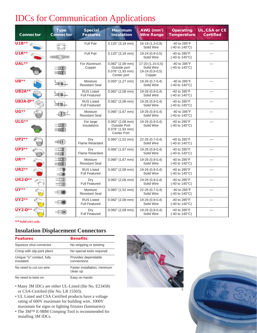## IDCs for Communication Applications

| <b>Connector</b>       | <b>Type</b><br><b>Connector</b> | <b>Special</b><br><b>Features</b>         | <b>Maximum</b><br><b>Insulation</b>                                                    | AWG (mm <sup>2</sup> )<br><b>Wire Range</b>                 | <b>Operating</b><br><b>Temperature</b>                  | UL, CSA or CE<br><b>Certified</b> |
|------------------------|---------------------------------|-------------------------------------------|----------------------------------------------------------------------------------------|-------------------------------------------------------------|---------------------------------------------------------|-----------------------------------|
| $U1B**$                |                                 | <b>Full Pair</b>                          | $0.125$ " (3,18 mm)                                                                    | $16-19(1,3-0,9)$<br>Solid Wire                              | -40 to 285°F<br>(-40 to 140°C)                          |                                   |
| U1R**                  |                                 | Full Pair                                 | $0.125$ " (3,18 mm)                                                                    | 19-24 (0,9-0,5)<br>Solid Wire                               | -40 to 285°F<br>$(-40 \text{ to } 140^{\circ}\text{C})$ |                                   |
| UAL**                  |                                 | For Aluminum<br>Copper                    | $0.082$ " (2,08 mm)<br>Outside port<br>$0.076$ " (1,93 mm)<br>Center port              | 17-20 (1,15-0,5)<br>Solid Wire<br>19-24 (0,9-0,5)<br>Copper | -40 to 285°F<br>(-40 to 140°C)                          |                                   |
| UB**                   |                                 | Moisture<br><b>Resistant Seal</b>         | $0.050$ " (1,27 mm)                                                                    | 19-26 (0.7-0.4)<br>Solid Wire                               | -40 to 285°F<br>(-40 to 140°C)                          |                                   |
| <b>UB2A**</b>          |                                 | <b>RUS Listed</b><br><b>Full Featured</b> | $0.082$ " (2,08 mm)                                                                    | 19-26 (0.9-0.4)<br>Solid Wire                               | -40 to $285^{\circ}$ F<br>(-40 to 140°C)                |                                   |
| <b>UB2A-D**</b>        |                                 | <b>RUS Listed</b><br><b>Full Featured</b> | $0.082"$ (2,08 mm)                                                                     | 19-26 (0,9-0,4)<br>Solid Wire                               | -40 to 285°F<br>$(-40 \text{ to } 140^{\circ}\text{C})$ |                                   |
| UG**                   |                                 | Moisture<br><b>Resistant Seal</b>         | $0.066$ " (1,67 mm)                                                                    | 19-26 (0,9-0,4)<br>Solid Wire                               | -40 to 285°F<br>$(-40 \text{ to } 140^{\circ}\text{C})$ |                                   |
| ULG**                  |                                 | For large<br>insulations                  | $0.082$ " (2,08 mm)<br><b>Outside Port</b><br>$0.076"$ (1,93 mm)<br><b>Center Port</b> | 19-26 (0,9-0,4)<br>Solid Wire                               | -40 to 285°F<br>$(-40 \text{ to } 140^{\circ}\text{C})$ |                                   |
| <b>UP2**</b>           | ₩                               | Dry<br>Flame Retardant                    | $0.060$ " (1,52 mm)                                                                    | 22-26 (0.7-0.4)<br>Solid Wire                               | -40 to 285°F<br>(-40 to 140°C)                          |                                   |
| <b>UP3**</b>           | ⊞∎<br>三重                        | Drv<br>Flame Retardant                    | $0.066"$ (1,67 mm)                                                                     | 19-26 (0,9-0,4)<br>Solid Wire                               | -40 to 285°F<br>(-40 to 140°C)                          |                                   |
| UR**                   | 一町<br>===                       | Moisture<br><b>Resistant Seal</b>         | $0.066"$ (1,67 mm)                                                                     | 19-26 (0,9-0,4)<br>Solid Wire                               | -40 to 285°F<br>$(-40 \text{ to } 140^{\circ}\text{C})$ |                                   |
| <b>UR2**</b>           |                                 | <b>RUS Listed</b><br><b>Full Featured</b> | $0.082"$ (2,08 mm)                                                                     | 19-26 (0,9-0,4)<br>Solid Wire                               | -40 to 285°F<br>$(-40 \text{ to } 140^{\circ}\text{C})$ |                                   |
| <b>UR2-D**</b><br>di L |                                 | Dry<br><b>Full Featured</b>               | $0.082$ " (2,08 mm)                                                                    | 19-26 (0,9-0,4)<br>Solid Wire                               | -40 to 285°F<br>(-40 to 140°C)                          |                                   |
| <b>UY**</b>            |                                 | Moisture<br><b>Resistant Seal</b>         | $0.060$ " (1,52 mm)                                                                    | 22-26 (0,7-0,4)<br>Solid Wire                               | -40 to 285°F<br>$(-40 \text{ to } 140^{\circ}\text{C})$ |                                   |
| <b>UY2**</b>           |                                 | <b>RUS Listed</b><br><b>Full Featured</b> | $0.082$ " (2,08 mm)                                                                    | 19-26 (0.9-0.4)<br>Solid Wire                               | -40 to 285°F<br>$(-40 \text{ to } 140^{\circ}\text{C})$ |                                   |
| <b>UY2-D**</b>         |                                 | Dry<br><b>Full Featured</b>               | $0.082$ " (2,08 mm)                                                                    | 19-26 (0.9-0.4)<br>Solid Wire                               | -40 to 285°F<br>(-40 to 140°C)                          |                                   |

**\*\****Solid wire only.*

#### **Insulation Displacement Connectors**

| <b>Features</b>                        | <b>Benefits</b>                          |
|----------------------------------------|------------------------------------------|
| Squeeze shut connector                 | No stripping or twisting                 |
| Crimp with slip-joint pliers           | No special tools required                |
| Unique "U" contact, fully<br>insulated | Provides dependable<br>connections       |
| No need to cut run wire                | Faster installation, minimum<br>clean up |
| No need to twist on                    | Easy on hands                            |

- Many 3M IDCs are either UL-Listed (file No. E23458) or CSA-Certified (file No. LR 15503).
- UL Listed and CSA Certified products have a voltage rating of 600V maximum for building wire, 1000V maximum for signs or lighting fixtures (luminaries).
- The 3M™ E-9BM Crimping Tool is recommended for installing 3M IDCs.



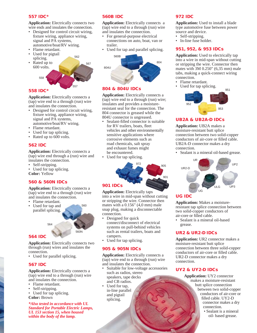#### **557 IDC\***

**Application:** Electrically connects two wire ends and insulates the connection.

- Designed for control circuit wiring, fixture wiring, appliance wiring, signal and PA systems, automotive/boat/RV wiring.
- Flame retardant.
- Used for pigtail
- splicing.



562

#### **558 IDC\***

**Application:** Electrically connects a (tap) wire end to a through (run) wire and insulates the connection.

- Designed for control circuit wiring, fixture wiring, appliance wiring, signal and PA systems, automotive/boat/RV wiring.
- Flame retardant.
- Used for tap splicing.
- Rated up to 600 volts.

#### **562 IDC**

**Application:** Electrically connects a (tap) wire end through a (run) wire and insulates the connection.

- Self-stripping.
- Used for tap splicing. **Color:** Yellow

#### **560 & 560N IDCs**

**Application:** Electrically connects a (tap) wire end to a through (run) wire and insulates the connection.

- Flame retardant.
- Used for tap and parallel splicing. 560

#### **564 IDC**

**Application:** Electrically connects two through (run) wires and insulates the connection.

560N

• Used for parallel splicing.

564

#### **567 IDC**

**Application:** Electrically connects a (tap) wire end to a through (run) wire and insulates the connection.

- Flame retardant.
- Self-stripping.
- Used for tap splicing.
- **Color:** Brown

*\*Also tested in accordance with UL Standard for Portable Electric Lamps, UL 153 section 15, when housed within the body of the lamp.*

#### **560B IDC**

**Application:** Electrically connects a (tap) wire end to a through (run) wire and insulates the connection.

- For general-purpose electrical connections on auto, boat, van or trailer.
- Used for tap and parallel splicing.



#### **804 & 804U IDCs**

**Application:** Electrically connects a (tap) wire end to a through (run) wire; insulates and provides a moistureresistant seal for the connection. The 804 connector is greased while the 804U connector is ungreased.

- Sealant-filled connector is suitable for RV trailers, boats, fleet vehicles and other environmentally sensitive applications where corrosive elements such as road chemicals, salt spray and exhaust fumes might be encountered.
- Used for tap splicing.



#### **901 IDCs**

**Application:** Electrically taps into a wire in mid-span without cutting or stripping the wire. Connector then mates with a 0.156" (4,0 mm) male snap plug, making a disconnectable connection.

- Designed for quick connect/disconnect of electrical systems on pull-behind vehicles such as rental trailers, boats and campers.
- Used for tap splicing.

#### **905 & 905N IDCs**

**Application:** Electrically connects a (tap) wire end to a through (run) wire and insulates the connection.

- Suitable for low-voltage accessories such as radios, stereo speakers, tape decks and CB radios.
- Used for tap, in-line parallel and pigtail splicing.

#### **972 IDC**

**Application:** Used to install a blade type automotive fuse between power source and device.

- Self-stripping.
- In-line fuse holder.

#### **951, 952, & 953 IDCs**

**Application:** Used to electrically tap into a wire in mid-span without cutting or stripping the wire. Connector then mates with 3M 0.250" (6,35 mm) male tabs, making a quick-connect wiring connection.

- Flame retardant.
- Used for tap splicing.



#### **UB2A & UB2A-D IDCs**

**Application:** UB2A makes a moisture-resistant butt splice connection between two solid-copper conductors of air-core or filled cable. UB2A-D connector makes a dry connection.

• Sealant is a mineral oil-based grease.



#### **UG IDC**

**Application:** Makes a moistureresistant tap splice connection between two solid-copper conductors of air-core or filled cable.

• Sealant is a mineral oil-based grease.

#### **UR2 & UR2-D IDCs**

**Application:** UR2 connector makes a moisture-resistant butt splice connection between three solid-copper conductors of air-core or filled cable. UR2-D connector makes a dry connection.

#### **UY2 & UY2-D IDCs**

**Application:** UY2 connector makes a moisture-resistant butt splice connection between two solid-copper conductors of air-core or filled cable. UY2-D connector makes a dry connection. • Sealant is a mineral

oil- based grease.